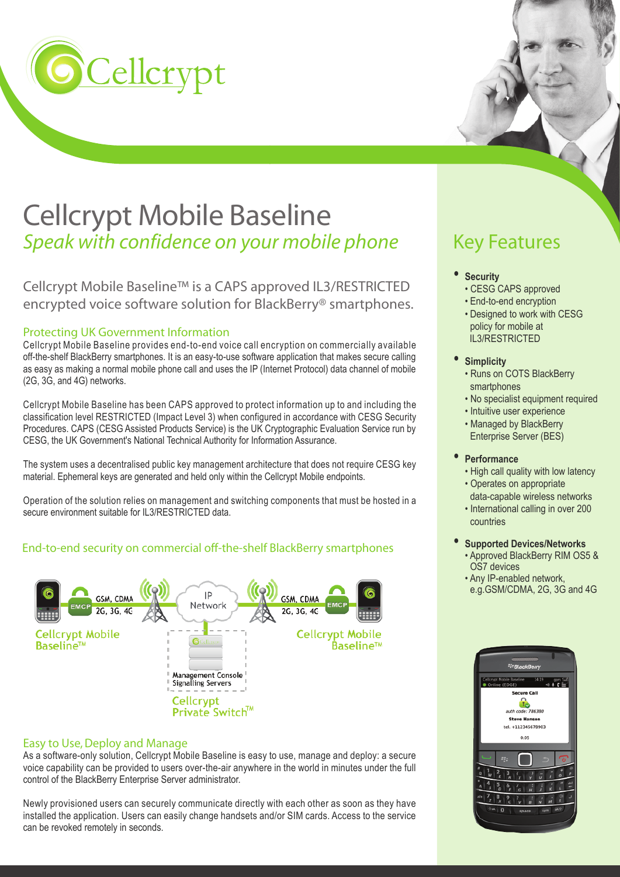

# Cellcrypt Mobile Baseline *Speak with confidence on your mobile phone*

Cellcrypt Mobile Baseline™ is a CAPS approved IL3/RESTRICTED encrypted voice software solution for BlackBerry® smartphones.

#### Protecting UK Government Information

Cellcrypt Mobile Baseline provides end-to-end voice call encryption on commercially available off-the-shelf BlackBerry smartphones. It is an easy-to-use software application that makes secure calling as easy as making a normal mobile phone call and uses the IP (Internet Protocol) data channel of mobile (2G, 3G, and 4G) networks.

Cellcrypt Mobile Baseline has been CAPS approved to protect information up to and including the classification level RESTRICTED (Impact Level 3) when configured in accordance with CESG Security Procedures. CAPS (CESG Assisted Products Service) is the UK Cryptographic Evaluation Service run by CESG, the UK Government's National Technical Authority for Information Assurance.

The system uses a decentralised public key management architecture that does not require CESG key material. Ephemeral keys are generated and held only within the Cellcrypt Mobile endpoints.

Operation of the solution relies on management and switching components that must be hosted in a secure environment suitable for IL3/RESTRICTED data

#### End-to-end security on commercial off-the-shelf BlackBerry smartphones



#### Easy to Use, Deploy and Manage

As a software-only solution, Cellcrypt Mobile Baseline is easy to use, manage and deploy: a secure voice capability can be provided to users over-the-air anywhere in the world in minutes under the full control of the BlackBerry Enterprise Server administrator.

Newly provisioned users can securely communicate directly with each other as soon as they have installed the application. Users can easily change handsets and/or SIM cards. Access to the service can be revoked remotely in seconds.

## Key Features

- **Security**
- CESG CAPS approved • End-to-end encryption
- Designed to work with CESG policy for mobile at IL3/RESTRICTED
- **Simplicity**
	- Runs on COTS BlackBerry smartphones
- No specialist equipment required
	- Intuitive user experience
- Managed by BlackBerry Enterprise Server (BES)
- **Performance**
- High call quality with low latency
- Operates on appropriate
- data-capable wireless networks • International calling in over 200
- countries
- **Supported Devices/Networks** • Approved BlackBerry RIM OS5 &
- OS7 devices • Any IP-enabled network,
	- e.g.GSM/CDMA, 2G, 3G and 4G